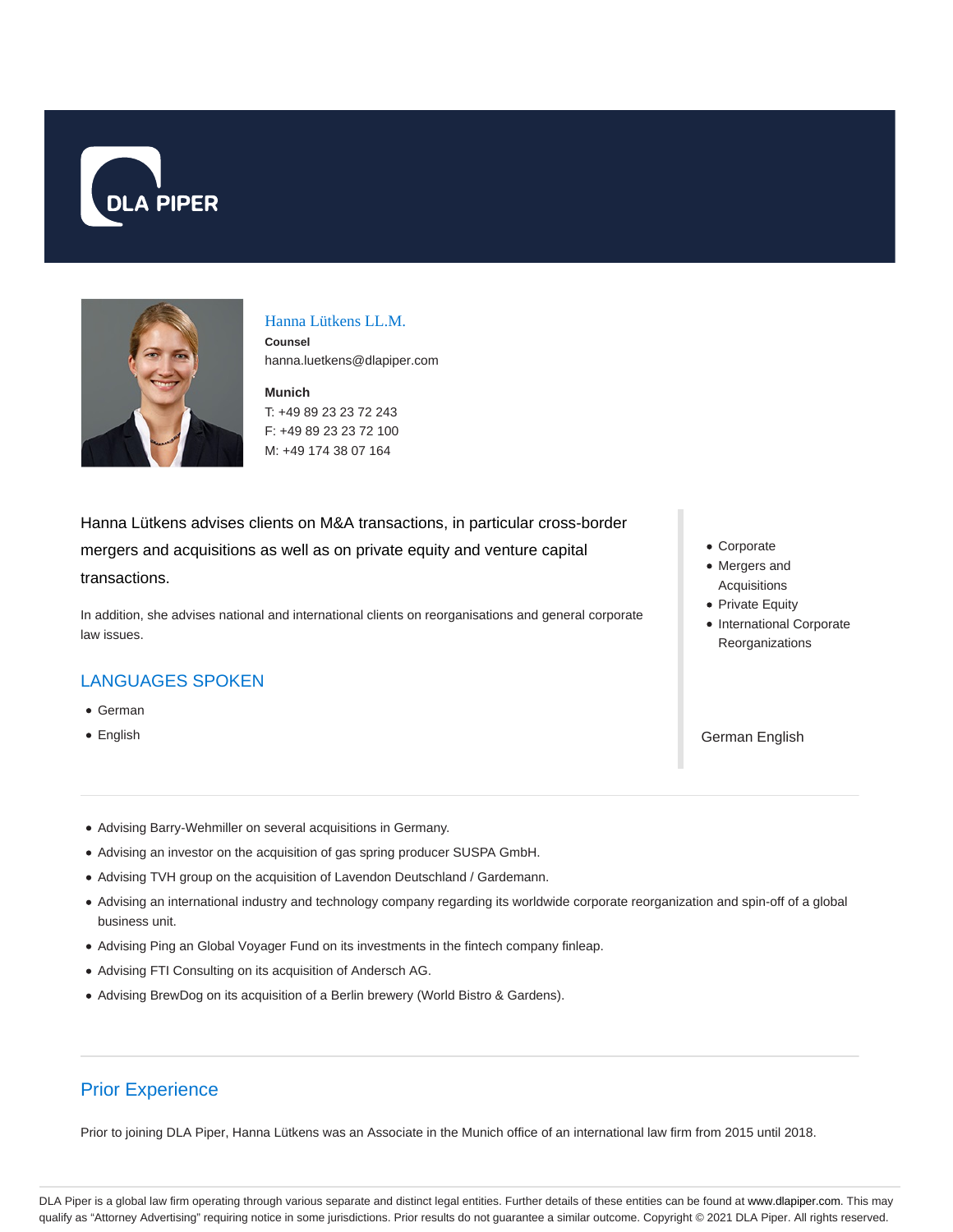



### Hanna Lütkens LL.M.

**Counsel** hanna.luetkens@dlapiper.com

**Munich** T: +49 89 23 23 72 243 F: +49 89 23 23 72 100 M: +49 174 38 07 164

Hanna Lütkens advises clients on M&A transactions, in particular cross-border mergers and acquisitions as well as on private equity and venture capital transactions.

In addition, she advises national and international clients on reorganisations and general corporate law issues.

## LANGUAGES SPOKEN

- German
- English
- Corporate
- Mergers and Acquisitions
- Private Equity
- International Corporate Reorganizations

German English

- Advising Barry-Wehmiller on several acquisitions in Germany.
- Advising an investor on the acquisition of gas spring producer SUSPA GmbH.
- Advising TVH group on the acquisition of Lavendon Deutschland / Gardemann.
- Advising an international industry and technology company regarding its worldwide corporate reorganization and spin-off of a global business unit.
- Advising Ping an Global Voyager Fund on its investments in the fintech company finleap.
- Advising FTI Consulting on its acquisition of Andersch AG.
- Advising BrewDog on its acquisition of a Berlin brewery (World Bistro & Gardens).

# Prior Experience

Prior to joining DLA Piper, Hanna Lütkens was an Associate in the Munich office of an international law firm from 2015 until 2018.

DLA Piper is a global law firm operating through various separate and distinct legal entities. Further details of these entities can be found at www.dlapiper.com. This may qualify as "Attorney Advertising" requiring notice in some jurisdictions. Prior results do not guarantee a similar outcome. Copyright © 2021 DLA Piper. All rights reserved.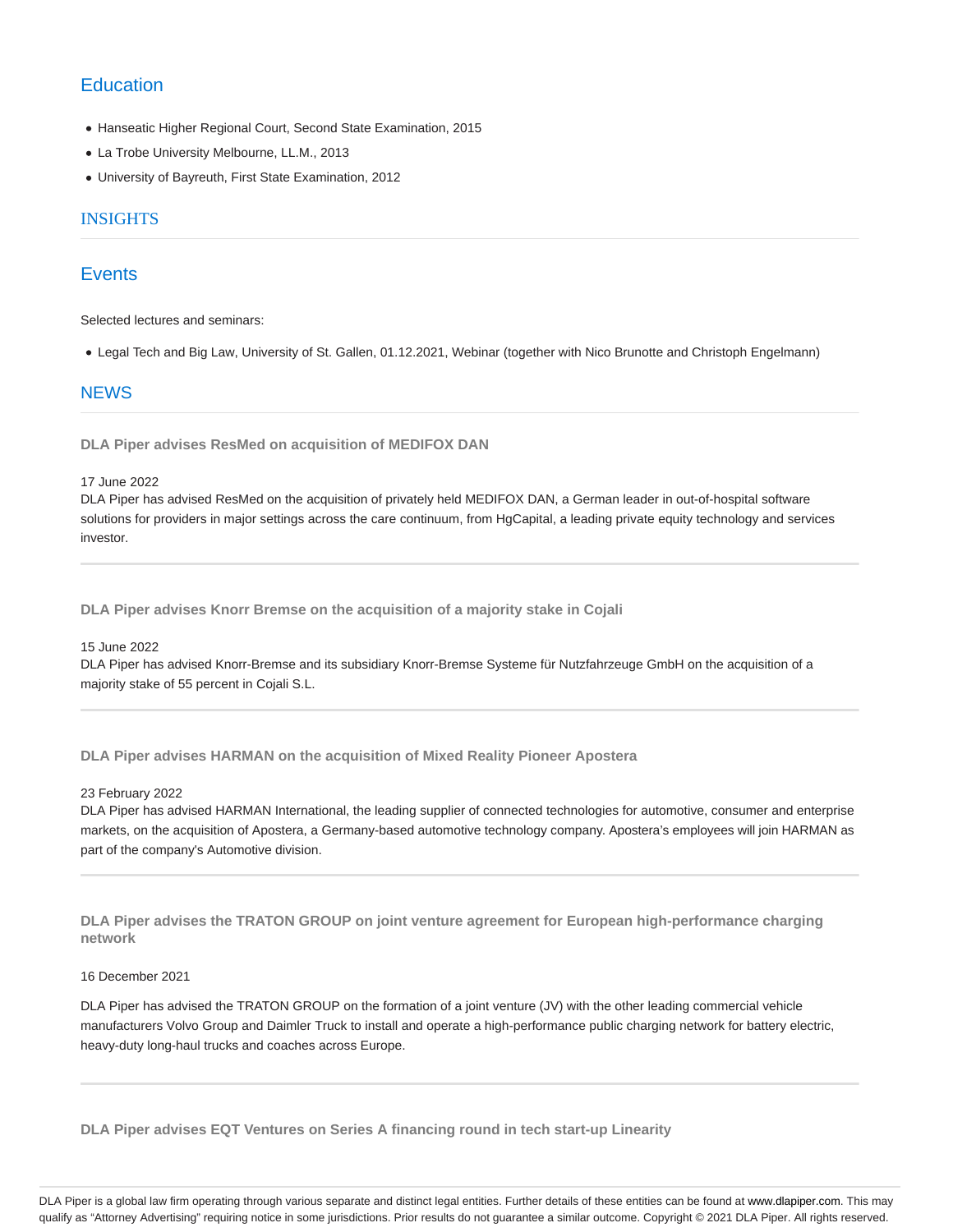# **Education**

- Hanseatic Higher Regional Court, Second State Examination, 2015
- La Trobe University Melbourne, LL.M., 2013
- University of Bayreuth, First State Examination, 2012

### INSIGHTS

## **Events**

Selected lectures and seminars:

Legal Tech and Big Law, University of St. Gallen, 01.12.2021, Webinar (together with Nico Brunotte and Christoph Engelmann)

## **NEWS**

**DLA Piper advises ResMed on acquisition of MEDIFOX DAN**

#### 17 June 2022

DLA Piper has advised ResMed on the acquisition of privately held MEDIFOX DAN, a German leader in out-of-hospital software solutions for providers in major settings across the care continuum, from HgCapital, a leading private equity technology and services investor.

**DLA Piper advises Knorr Bremse on the acquisition of a majority stake in Cojali**

#### 15 June 2022

DLA Piper has advised Knorr-Bremse and its subsidiary Knorr-Bremse Systeme für Nutzfahrzeuge GmbH on the acquisition of a majority stake of 55 percent in Cojali S.L.

**DLA Piper advises HARMAN on the acquisition of Mixed Reality Pioneer Apostera**

#### 23 February 2022

DLA Piper has advised HARMAN International, the leading supplier of connected technologies for automotive, consumer and enterprise markets, on the acquisition of Apostera, a Germany-based automotive technology company. Apostera's employees will join HARMAN as part of the company's Automotive division.

**DLA Piper advises the TRATON GROUP on joint venture agreement for European high-performance charging network**

### 16 December 2021

DLA Piper has advised the TRATON GROUP on the formation of a joint venture (JV) with the other leading commercial vehicle manufacturers Volvo Group and Daimler Truck to install and operate a high-performance public charging network for battery electric, heavy-duty long-haul trucks and coaches across Europe.

**DLA Piper advises EQT Ventures on Series A financing round in tech start-up Linearity**

DLA Piper is a global law firm operating through various separate and distinct legal entities. Further details of these entities can be found at www.dlapiper.com. This may qualify as "Attorney Advertising" requiring notice in some jurisdictions. Prior results do not guarantee a similar outcome. Copyright © 2021 DLA Piper. All rights reserved.